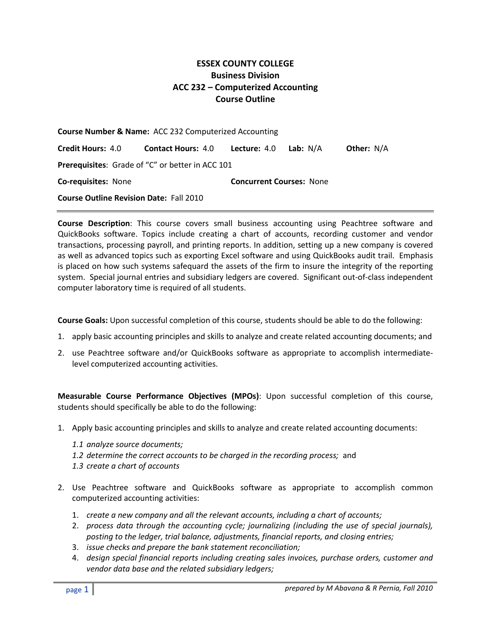## **ESSEX COUNTY COLLEGE Business Division ACC 232** *–* **Computerized Accounting Course Outline**

| <b>Course Number &amp; Name: ACC 232 Computerized Accounting</b> |                                        |                                 |                 |                   |  |
|------------------------------------------------------------------|----------------------------------------|---------------------------------|-----------------|-------------------|--|
| <b>Credit Hours: 4.0</b>                                         | <b>Contact Hours: 4.0 Lecture: 4.0</b> |                                 | <b>Lab:</b> N/A | <b>Other: N/A</b> |  |
| Prerequisites: Grade of "C" or better in ACC 101                 |                                        |                                 |                 |                   |  |
| <b>Co-requisites: None</b>                                       |                                        | <b>Concurrent Courses: None</b> |                 |                   |  |
| <b>Course Outline Revision Date: Fall 2010</b>                   |                                        |                                 |                 |                   |  |

**Course Description**: This course covers small business accounting using Peachtree software and QuickBooks software. Topics include creating a chart of accounts, recording customer and vendor transactions, processing payroll, and printing reports. In addition, setting up a new company is covered as well as advanced topics such as exporting Excel software and using QuickBooks audit trail. Emphasis is placed on how such systems safequard the assets of the firm to insure the integrity of the reporting system. Special journal entries and subsidiary ledgers are covered. Significant out-of-class independent computer laboratory time is required of all students.

**Course Goals:** Upon successful completion of this course, students should be able to do the following:

- 1. apply basic accounting principles and skills to analyze and create related accounting documents; and
- 2. use Peachtree software and/or QuickBooks software as appropriate to accomplish intermediatelevel computerized accounting activities.

**Measurable Course Performance Objectives (MPOs)**: Upon successful completion of this course, students should specifically be able to do the following:

- 1. Apply basic accounting principles and skills to analyze and create related accounting documents:
	- *1.1 analyze source documents;*
	- *1.2 determine the correct accounts to be charged in the recording process;* and
	- *1.3 create a chart of accounts*
- 2. Use Peachtree software and QuickBooks software as appropriate to accomplish common computerized accounting activities:
	- 1. *create a new company and all the relevant accounts, including a chart of accounts;*
	- 2. *process data through the accounting cycle; journalizing (including the use of special journals), posting to the ledger, trial balance, adjustments, financial reports, and closing entries;*
	- 3. *issue checks and prepare the bank statement reconciliation;*
	- 4. *design special financial reports including creating sales invoices, purchase orders, customer and vendor data base and the related subsidiary ledgers;*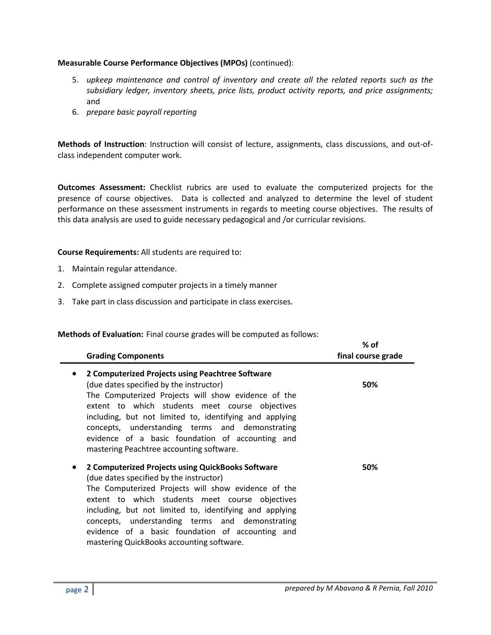## **Measurable Course Performance Objectives (MPOs)** (continued):

- 5. *upkeep maintenance and control of inventory and create all the related reports such as the subsidiary ledger, inventory sheets, price lists, product activity reports, and price assignments;*  and
- 6. *prepare basic payroll reporting*

**Methods of Instruction**: Instruction will consist of lecture, assignments, class discussions, and out-ofclass independent computer work.

**Outcomes Assessment:** Checklist rubrics are used to evaluate the computerized projects for the presence of course objectives. Data is collected and analyzed to determine the level of student performance on these assessment instruments in regards to meeting course objectives. The results of this data analysis are used to guide necessary pedagogical and /or curricular revisions.

**Course Requirements:** All students are required to:

- 1. Maintain regular attendance.
- 2. Complete assigned computer projects in a timely manner
- 3. Take part in class discussion and participate in class exercises.

**Methods of Evaluation:** Final course grades will be computed as follows:

| <b>Grading Components</b>                                                                                                                                                                                                                                                                                                                                                                                             | % of<br>final course grade |
|-----------------------------------------------------------------------------------------------------------------------------------------------------------------------------------------------------------------------------------------------------------------------------------------------------------------------------------------------------------------------------------------------------------------------|----------------------------|
| 2 Computerized Projects using Peachtree Software<br>(due dates specified by the instructor)<br>The Computerized Projects will show evidence of the<br>extent to which students meet course objectives<br>including, but not limited to, identifying and applying<br>concepts, understanding terms and demonstrating<br>evidence of a basic foundation of accounting and<br>mastering Peachtree accounting software.   | 50%                        |
| 2 Computerized Projects using QuickBooks Software<br>(due dates specified by the instructor)<br>The Computerized Projects will show evidence of the<br>extent to which students meet course objectives<br>including, but not limited to, identifying and applying<br>concepts, understanding terms and demonstrating<br>evidence of a basic foundation of accounting and<br>mastering QuickBooks accounting software. | 50%                        |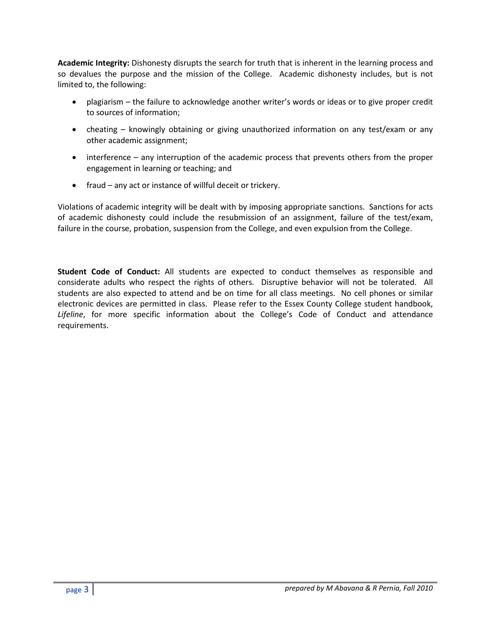**Academic Integrity:** Dishonesty disrupts the search for truth that is inherent in the learning process and so devalues the purpose and the mission of the College. Academic dishonesty includes, but is not limited to, the following:

- plagiarism the failure to acknowledge another writer's words or ideas or to give proper credit to sources of information;
- cheating knowingly obtaining or giving unauthorized information on any test/exam or any other academic assignment;
- interference any interruption of the academic process that prevents others from the proper engagement in learning or teaching; and
- fraud any act or instance of willful deceit or trickery.

Violations of academic integrity will be dealt with by imposing appropriate sanctions. Sanctions for acts of academic dishonesty could include the resubmission of an assignment, failure of the test/exam, failure in the course, probation, suspension from the College, and even expulsion from the College.

**Student Code of Conduct:** All students are expected to conduct themselves as responsible and considerate adults who respect the rights of others. Disruptive behavior will not be tolerated. All students are also expected to attend and be on time for all class meetings. No cell phones or similar electronic devices are permitted in class. Please refer to the Essex County College student handbook, *Lifeline*, for more specific information about the College's Code of Conduct and attendance requirements.